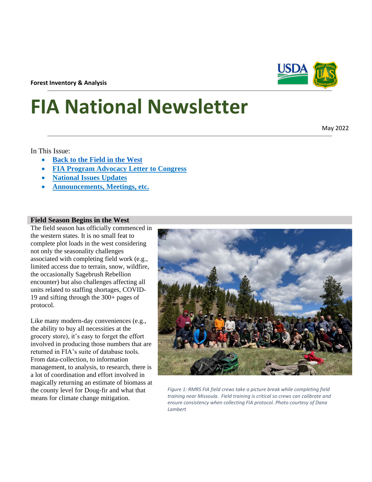**Forest Inventory & Analysis**

# **FIA National Newsletter**

In This Issue:

- **[Back to the Field](#page-0-0) in the West**
- **[FIA Program Advocacy Letter to Congress](#page-1-0)**
- **[National Issues](#page-1-1) Updates**
- **[Announcements, Meetings, etc.](#page-2-0)**

## <span id="page-0-0"></span>**Field Season Begins in the West**

The field season has officially commenced in the western states. It is no small feat to complete plot loads in the west considering not only the seasonality challenges associated with completing field work (e.g., limited access due to terrain, snow, wildfire, the occasionally Sagebrush Rebellion encounter) but also challenges affecting all units related to staffing shortages, COVID-19 and sifting through the 300+ pages of protocol.

Like many modern-day conveniences (e.g., the ability to buy all necessities at the grocery store), it's easy to forget the effort involved in producing those numbers that are returned in FIA's suite of database tools. From data-collection, to information management, to analysis, to research, there is a lot of coordination and effort involved in magically returning an estimate of biomass at the county level for Doug-fir and what that means for climate change mitigation.







May 2022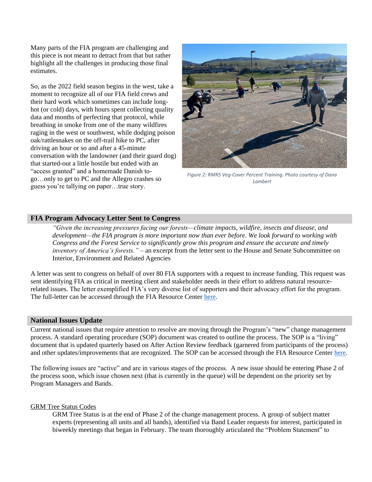Many parts of the FIA program are challenging and this piece is not meant to detract from that but rather highlight all the challenges in producing those final estimates.

So, as the 2022 field season begins in the west, take a moment to recognize all of our FIA field crews and their hard work which sometimes can include longhot (or cold) days, with hours spent collecting quality data and months of perfecting that protocol, while breathing in smoke from one of the many wildfires raging in the west or southwest, while dodging poison oak/rattlesnakes on the off-trail hike to PC, after driving an hour or so and after a 45-minute conversation with the landowner (and their guard dog) that started-out a little hostile but ended with an "access granted" and a homemade Danish togo…only to get to PC and the Allegro crashes so guess you're tallying on paper…true story.



*Figure 2: RMRS Veg-Cover Percent Training. Photo courtesy of Dana Lambert*

## <span id="page-1-0"></span>**FIA Program Advocacy Letter Sent to Congress**

*"Given the increasing pressures facing our forests—climate impacts, wildfire, insects and disease, and development—the FIA program is more important now than ever before. We look forward to working with Congress and the Forest Service to significantly grow this program and ensure the accurate and timely inventory of America's forests."* – an excerpt from the letter sent to the House and Senate Subcommittee on Interior, Environment and Related Agencies

A letter was sent to congress on behalf of over 80 FIA supporters with a request to increase funding. This request was sent identifying FIA as critical in meeting client and stakeholder needs in their effort to address natural resourcerelated issues. The letter exemplified FIA's very diverse list of supporters and their advocacy effort for the program. The full-letter can be accessed through the FIA Resource Center [here.](https://teams.microsoft.com/l/file/b3b57a6f-eb1d-41ca-bbde-1c67ae00db9c?tenantId=ed5b36e7-01ee-4ebc-867e-e03cfa0d4697&fileType=pdf&objectUrl=https%3A%2F%2Fusdagcc.sharepoint.com%2Fsites%2Ffs-fia-no%2FShared%20Documents%2FGeneral%2FFY23%20FIA%20Coalition%20Support%20Letter_051722.pdf&baseUrl=https%3A%2F%2Fusdagcc.sharepoint.com%2Fsites%2Ffs-fia-no&serviceName=teams&threadId=19:fa0d68122ff64200b2c783aa9325a937@thread.skype&messageId=-1&groupId=bc5991cf-5cc1-400c-9c41-daa94d8acef0)

#### <span id="page-1-1"></span>**National Issues Update**

Current national issues that require attention to resolve are moving through the Program's "new" change management process. A standard operating procedure (SOP) document was created to outline the process. The SOP is a "living" document that is updated quarterly based on After Action Review feedback (garnered from participants of the process) and other updates/improvements that are recognized. The SOP can be accessed through the FIA Resource Center [here.](https://usdagcc.sharepoint.com/sites/fs-fia-no/Lists/Change%20Management/DispForm.aspx?ID=4&e=BRnZY7)

The following issues are "active" and are in various stages of the process. A new issue should be entering Phase 2 of the process soon, which issue chosen next (that is currently in the queue) will be dependent on the priority set by Program Managers and Bands.

#### GRM Tree Status Codes

GRM Tree Status is at the end of Phase 2 of the change management process. A group of subject matter experts (representing all units and all bands), identified via Band Leader requests for interest, participated in biweekly meetings that began in February. The team thoroughly articulated the "Problem Statement" to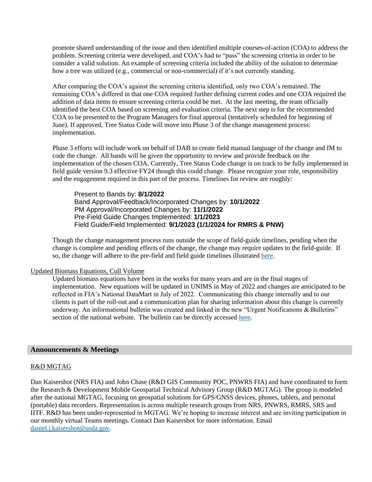promote shared understanding of the issue and then identified multiple courses-of-action (COA) to address the problem. Screening criteria were developed, and COA's had to "pass" the screening criteria in order to be consider a valid solution. An example of screening criteria included the ability of the solution to determine how a tree was utilized (e.g., commercial or non-commercial) if it's not currently standing.

After comparing the COA's against the screening criteria identified, only two COA's remained. The remaining COA's differed in that one COA required further defining current codes and one COA required the addition of data items to ensure screening criteria could be met. At the last meeting, the team officially identified the best COA based on screening and evaluation criteria. The next step is for the recommended COA to be presented to the Program Managers for final approval (tentatively scheduled for beginning of June). If approved, Tree Status Code will move into Phase 3 of the change management process: implementation.

Phase 3 efforts will include work on behalf of DAB to create field manual language of the change and IM to code the change. All bands will be given the opportunity to review and provide feedback on the implementation of the chosen COA. Currently, Tree Status Code change is on track to be fully implemented in field guide version 9.3 effective FY24 though this could change. Please recognize your role, responsibility and the engagement required in this part of the process. Timelines for review are roughly:

Present to Bands by: **8/1/2022** Band Approval/Feedback/Incorporated Changes by: **10/1/2022** PM Approval/Incorporated Changes by: **11/1/2022** Pre-Field Guide Changes Implemented: **1/1/2023** Field Guide/Field Implemented: **9/1/2023 (1/1/2024 for RMRS & PNW)**

Though the change management process runs outside the scope of field-guide timelines, pending when the change is complete and pending effects of the change, the change may require updates to the field-guide. If so, the change will adhere to the pre-field and field guide timelines illustrated [here.](https://usfs.box.com/s/vfelt3y2cxd38woqvepzcj43q4j0740z)

#### Updated Biomass Equations, Cull Volume

Updated biomass equations have been in the works for many years and are in the final stages of implementation. New equations will be updated in UNIMS in May of 2022 and changes are anticipated to be reflected in FIA's National DataMart in July of 2022. Communicating this change internally and to our clients is part of the roll-out and a communication plan for sharing information about this change is currently underway. An informational bulletin was created and linked in the new "Urgent Notifications & Bulletins" section of the national website. The bulletin can be directly accessed [here.](https://www.fia.fs.fed.us/library/notifications-bulletins-archive/bulletins/2022-04_FIA_Bulletin_Biomass.pdf)

#### <span id="page-2-0"></span>**Announcements & Meetings**

## R&D MGTAG

Dan Kaisershot (NRS FIA) and John Chase (R&D GIS Community POC, PNWRS FIA) and have coordinated to form the Research & Development Mobile Geospatial Technical Advisory Group (R&D MGTAG). The group is modeled after the national MGTAG, focusing on geospatial solutions for GPS/GNSS devices, phones, tablets, and personal (portable) data recorders. Representation is across multiple research groups from NRS, PNWRS, RMRS, SRS and IITF. R&D has been under-represented in MGTAG. We're hoping to increase interest and are inviting participation in our monthly virtual Teams meetings. Contact Dan Kaisershot for more information. Email [daniel.j.kaisershot@usda.gov.](mailto:daniel.j.kaisershot@usda.gov)